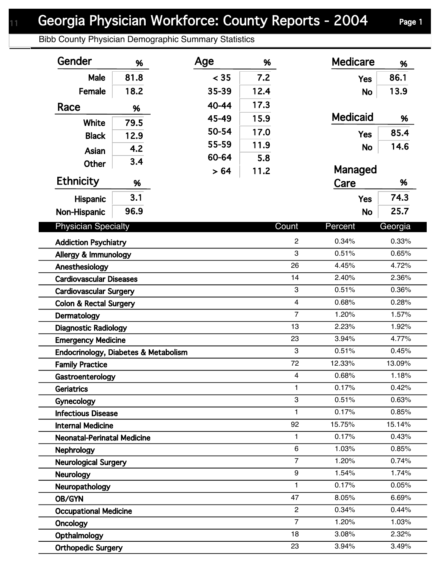## Georgia Physician Workforce: County Reports - 2004 Page 1

Bibb County Physician Demographic Summary Statistics

| Gender                               | %    | Age   | %    |                | <b>Medicare</b> | %       |
|--------------------------------------|------|-------|------|----------------|-----------------|---------|
| Male                                 | 81.8 | < 35  | 7.2  |                | <b>Yes</b>      | 86.1    |
| Female                               | 18.2 | 35-39 | 12.4 |                | <b>No</b>       | 13.9    |
| Race                                 | %    | 40-44 | 17.3 |                |                 |         |
|                                      |      | 45-49 | 15.9 |                | <b>Medicaid</b> | %       |
| White                                | 79.5 | 50-54 | 17.0 |                | <b>Yes</b>      | 85.4    |
| <b>Black</b>                         | 12.9 | 55-59 | 11.9 |                |                 | 14.6    |
| Asian                                | 4.2  | 60-64 | 5.8  |                | <b>No</b>       |         |
| <b>Other</b>                         | 3.4  | > 64  | 11.2 |                | Managed         |         |
| <b>Ethnicity</b>                     | %    |       |      |                | Care            | %       |
| <b>Hispanic</b>                      | 3.1  |       |      |                | <b>Yes</b>      | 74.3    |
| Non-Hispanic                         | 96.9 |       |      |                | <b>No</b>       | 25.7    |
|                                      |      |       |      |                |                 |         |
| <b>Physician Specialty</b>           |      |       |      | Count          | Percent         | Georgia |
| <b>Addiction Psychiatry</b>          |      |       |      | $\overline{c}$ | 0.34%           | 0.33%   |
| Allergy & Immunology                 |      |       |      | 3              | 0.51%           | 0.65%   |
| Anesthesiology                       |      |       |      | 26             | 4.45%           | 4.72%   |
| <b>Cardiovascular Diseases</b>       |      |       |      | 14             | 2.40%           | 2.36%   |
| <b>Cardiovascular Surgery</b>        |      |       |      | 3              | 0.51%           | 0.36%   |
| <b>Colon &amp; Rectal Surgery</b>    |      |       |      | $\overline{4}$ | 0.68%           | 0.28%   |
| Dermatology                          |      |       |      | $\overline{7}$ | 1.20%           | 1.57%   |
| <b>Diagnostic Radiology</b>          |      |       |      | 13             | 2.23%           | 1.92%   |
| <b>Emergency Medicine</b>            |      |       |      | 23             | 3.94%           | 4.77%   |
| Endocrinology, Diabetes & Metabolism |      |       |      | 3              | 0.51%           | 0.45%   |
| <b>Family Practice</b>               |      |       |      | 72             | 12.33%          | 13.09%  |
| Gastroenterology                     |      |       |      | 4              | 0.68%           | 1.18%   |
| <b>Geriatrics</b>                    |      |       |      | 1              | 0.17%           | 0.42%   |
| Gynecology                           |      |       |      | 3              | 0.51%           | 0.63%   |
| <b>Infectious Disease</b>            |      |       |      | 1              | 0.17%           | 0.85%   |
| <b>Internal Medicine</b>             |      |       |      | 92             | 15.75%          | 15.14%  |
| <b>Neonatal-Perinatal Medicine</b>   |      |       |      | 1              | 0.17%           | 0.43%   |
| <b>Nephrology</b>                    |      |       |      | 6              | 1.03%           | 0.85%   |
| <b>Neurological Surgery</b>          |      |       |      | $\overline{7}$ | 1.20%           | 0.74%   |
| <b>Neurology</b>                     |      |       |      | 9              | 1.54%           | 1.74%   |
| Neuropathology                       |      |       |      | $\mathbf{1}$   | 0.17%           | 0.05%   |
| OB/GYN                               |      |       |      | 47             | 8.05%           | 6.69%   |
| <b>Occupational Medicine</b>         |      |       |      | $\overline{c}$ | 0.34%           | 0.44%   |
| <b>Oncology</b>                      |      |       |      | $\overline{7}$ | 1.20%           | 1.03%   |
| Opthalmology                         |      |       |      | 18             | 3.08%           | 2.32%   |
| <b>Orthopedic Surgery</b>            |      |       |      | 23             | 3.94%           | 3.49%   |